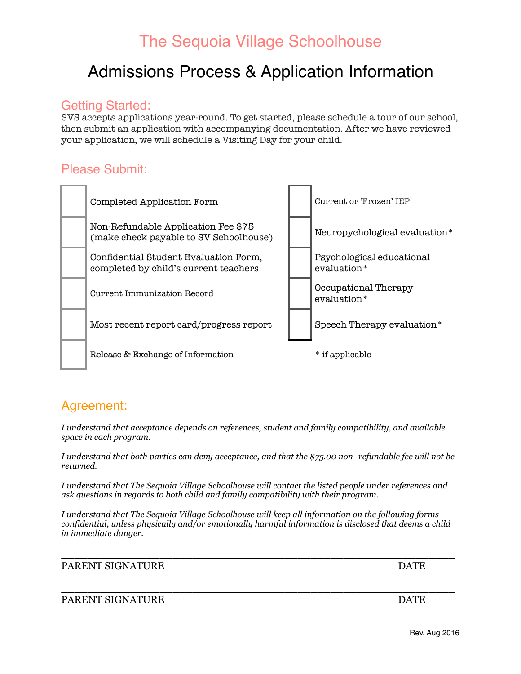## Admissions Process & Application Information

### Getting Started:

SVS accepts applications year-round. To get started, please schedule a tour of our school, then submit an application with accompanying documentation. After we have reviewed your application, we will schedule a Visiting Day for your child.

### Please Submit:



### Agreement:

*I understand that acceptance depends on references, student and family compatibility, and available space in each program.* 

*I understand that both parties can deny acceptance, and that the \$75.00 non- refundable fee will not be returned.* 

*I understand that The Sequoia Village Schoolhouse will contact the listed people under references and ask questions in regards to both child and family compatibility with their program.* 

*I understand that The Sequoia Village Schoolhouse will keep all information on the following forms confidential, unless physically and/or emotionally harmful information is disclosed that deems a child in immediate danger.* 

\_\_\_\_\_\_\_\_\_\_\_\_\_\_\_\_\_\_\_\_\_\_\_\_\_\_\_\_\_\_\_\_\_\_\_\_\_\_\_\_\_\_\_\_\_\_\_\_\_\_\_\_\_\_\_\_\_\_\_\_

#### PARENT SIGNATURE DATE

#### $\_$  , and the set of the set of the set of the set of the set of the set of the set of the set of the set of the set of the set of the set of the set of the set of the set of the set of the set of the set of the set of th PARENT SIGNATURE DATE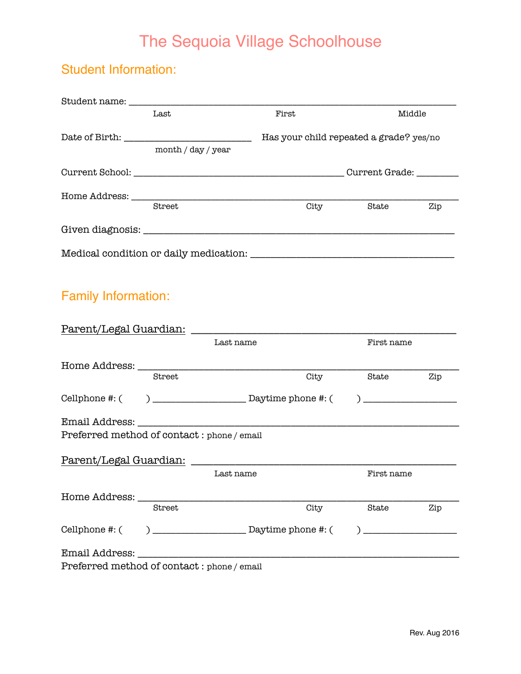### Student Information:

|                                            | Last               |           | First                                   |                                                             | Middle |
|--------------------------------------------|--------------------|-----------|-----------------------------------------|-------------------------------------------------------------|--------|
|                                            |                    |           | Has your child repeated a grade? yes/no |                                                             |        |
|                                            | month / day / year |           |                                         |                                                             |        |
|                                            |                    |           |                                         |                                                             |        |
|                                            |                    |           |                                         |                                                             |        |
|                                            | Street             |           | City                                    | State                                                       | Zip    |
|                                            |                    |           |                                         |                                                             |        |
|                                            |                    |           |                                         |                                                             |        |
| <b>Family Information:</b>                 |                    |           |                                         |                                                             |        |
|                                            |                    |           |                                         |                                                             |        |
|                                            |                    | Last name |                                         | First name                                                  |        |
|                                            |                    |           |                                         |                                                             |        |
|                                            | Street             |           | City                                    | State                                                       | Zip    |
|                                            |                    |           |                                         | $\begin{array}{c} \begin{array}{c} \end{array} \end{array}$ |        |
|                                            |                    |           |                                         |                                                             |        |
| Preferred method of contact: phone / email |                    |           |                                         |                                                             |        |
|                                            |                    |           |                                         |                                                             |        |
|                                            |                    | Last name |                                         | First name                                                  |        |
| Home Address: ____                         |                    |           |                                         |                                                             |        |
|                                            | Street             |           | City                                    | State                                                       | Zip    |
| Cellphone #: (                             | $\mathcal{L}$      |           |                                         |                                                             |        |
| Email Address:                             |                    |           |                                         |                                                             |        |
| $Drafannod method of contact: whenc/cm$    |                    |           |                                         |                                                             |        |

Preferred method of contact : phone / email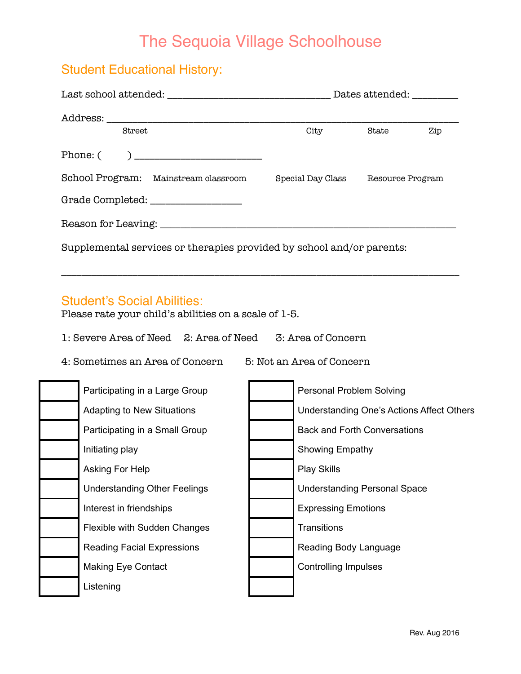### Student Educational History:

|                                                                       | Dates attended: _________ |                  |  |
|-----------------------------------------------------------------------|---------------------------|------------------|--|
|                                                                       |                           |                  |  |
| Street                                                                | City                      | State<br>Zip     |  |
|                                                                       |                           |                  |  |
| School Program: Mainstream classroom                                  | Special Day Class         | Resource Program |  |
|                                                                       |                           |                  |  |
|                                                                       |                           |                  |  |
| Supplemental services or therapies provided by school and/or parents: |                           |                  |  |

\_\_\_\_\_\_\_\_\_\_\_\_\_\_\_\_\_\_\_\_\_\_\_\_\_\_\_\_\_\_\_\_\_\_\_\_\_\_\_\_\_\_\_\_\_\_\_\_\_\_\_\_\_\_\_\_\_\_\_\_\_\_\_\_\_\_\_\_\_\_\_\_\_\_\_\_\_\_

#### Student's Social Abilities:

Please rate your child's abilities on a scale of 1-5.

1: Severe Area of Need 2: Area of Need 3: Area of Concern

4: Sometimes an Area of Concern 5: Not an Area of Concern

| Participating in a Large Group      | <b>Personal Problem Solving</b>           |
|-------------------------------------|-------------------------------------------|
| <b>Adapting to New Situations</b>   | Understanding One's Actions Affect Others |
| Participating in a Small Group      | <b>Back and Forth Conversations</b>       |
| Initiating play                     | <b>Showing Empathy</b>                    |
| Asking For Help                     | <b>Play Skills</b>                        |
| <b>Understanding Other Feelings</b> | <b>Understanding Personal Space</b>       |
| Interest in friendships             | <b>Expressing Emotions</b>                |
| Flexible with Sudden Changes        | <b>Transitions</b>                        |
| <b>Reading Facial Expressions</b>   | Reading Body Language                     |
| <b>Making Eye Contact</b>           | <b>Controlling Impulses</b>               |
| Listening                           |                                           |
|                                     |                                           |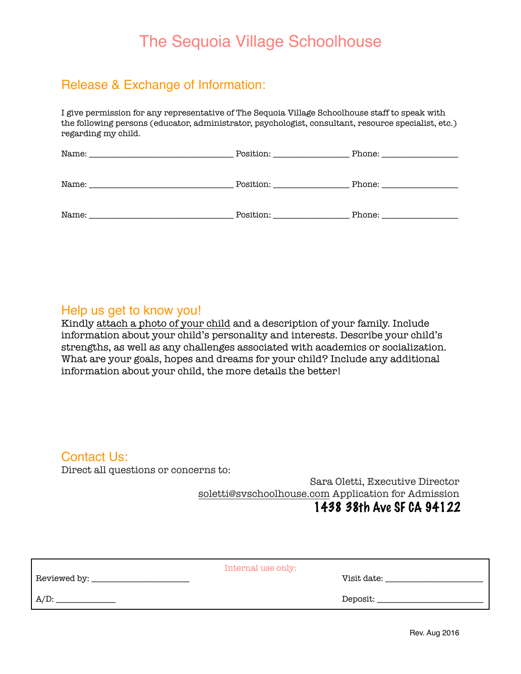### Release & Exchange of Information:

I give permission for any representative of The Sequoia Village Schoolhouse staff to speak with the following persons (educator, administrator, psychologist, consultant, resource specialist, etc.) regarding my child.

| Name:<br>the control of the control of the control of the control of the control of the control of | Position: __________________ |  |
|----------------------------------------------------------------------------------------------------|------------------------------|--|
| Name:                                                                                              | Position: ______________     |  |
| Name:                                                                                              | Position:                    |  |

#### Help us get to know you!

Kindly attach a photo of your child and a description of your family. Include information about your child's personality and interests. Describe your child's strengths, as well as any challenges associated with academics or socialization. What are your goals, hopes and dreams for your child? Include any additional information about your child, the more details the better!

#### Contact Us:

Direct all questions or concerns to:

Sara Oletti, Executive Director soletti@svschoolhouse.com Application for Admission 1438 38th Ave SF CA 94122

|                | Internal use only: |
|----------------|--------------------|
| Reviewed by: _ | Visit date:        |
| $A/D$ :        | Deposit:           |